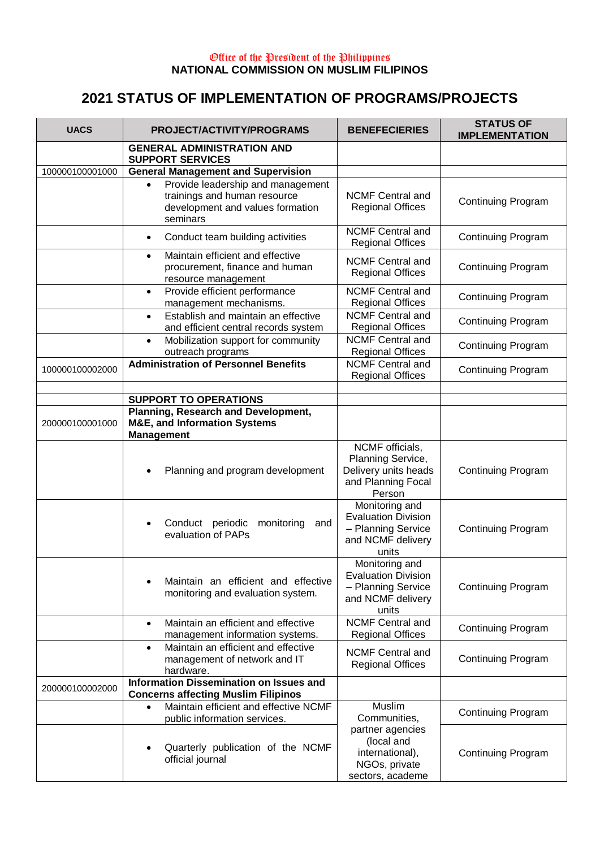## Office of the President of the Philippines **NATIONAL COMMISSION ON MUSLIM FILIPINOS**

## **2021 STATUS OF IMPLEMENTATION OF PROGRAMS/PROJECTS**

| <b>UACS</b>     | PROJECT/ACTIVITY/PROGRAMS                                                                                         | <b>BENEFECIERIES</b>                                                                             | <b>STATUS OF</b><br><b>IMPLEMENTATION</b> |
|-----------------|-------------------------------------------------------------------------------------------------------------------|--------------------------------------------------------------------------------------------------|-------------------------------------------|
|                 | <b>GENERAL ADMINISTRATION AND</b><br><b>SUPPORT SERVICES</b>                                                      |                                                                                                  |                                           |
| 100000100001000 | <b>General Management and Supervision</b>                                                                         |                                                                                                  |                                           |
|                 | Provide leadership and management<br>trainings and human resource<br>development and values formation<br>seminars | <b>NCMF Central and</b><br><b>Regional Offices</b>                                               | <b>Continuing Program</b>                 |
|                 | Conduct team building activities<br>$\bullet$                                                                     | <b>NCMF Central and</b><br><b>Regional Offices</b>                                               | <b>Continuing Program</b>                 |
|                 | Maintain efficient and effective<br>$\bullet$<br>procurement, finance and human<br>resource management            | <b>NCMF Central and</b><br><b>Regional Offices</b>                                               | <b>Continuing Program</b>                 |
|                 | Provide efficient performance<br>$\bullet$<br>management mechanisms.                                              | <b>NCMF Central and</b><br><b>Regional Offices</b>                                               | <b>Continuing Program</b>                 |
|                 | Establish and maintain an effective<br>$\bullet$<br>and efficient central records system                          | <b>NCMF Central and</b><br><b>Regional Offices</b>                                               | <b>Continuing Program</b>                 |
|                 | Mobilization support for community<br>$\bullet$<br>outreach programs                                              | <b>NCMF Central and</b><br><b>Regional Offices</b>                                               | <b>Continuing Program</b>                 |
| 100000100002000 | <b>Administration of Personnel Benefits</b>                                                                       | <b>NCMF Central and</b><br><b>Regional Offices</b>                                               | <b>Continuing Program</b>                 |
|                 | <b>SUPPORT TO OPERATIONS</b>                                                                                      |                                                                                                  |                                           |
| 200000100001000 | Planning, Research and Development,<br><b>M&amp;E, and Information Systems</b><br><b>Management</b>               |                                                                                                  |                                           |
|                 | Planning and program development                                                                                  | NCMF officials,<br>Planning Service,<br>Delivery units heads<br>and Planning Focal<br>Person     | Continuing Program                        |
|                 | Conduct periodic<br>monitoring<br>and<br>evaluation of PAPs                                                       | Monitoring and<br><b>Evaluation Division</b><br>- Planning Service<br>and NCMF delivery<br>units | <b>Continuing Program</b>                 |
|                 | Maintain an efficient and effective<br>monitoring and evaluation system.                                          | Monitoring and<br><b>Evaluation Division</b><br>- Planning Service<br>and NCMF delivery<br>units | <b>Continuing Program</b>                 |
|                 | Maintain an efficient and effective<br>$\bullet$<br>management information systems.                               | <b>NCMF Central and</b><br><b>Regional Offices</b>                                               | <b>Continuing Program</b>                 |
|                 | Maintain an efficient and effective<br>$\bullet$<br>management of network and IT<br>hardware.                     | <b>NCMF Central and</b><br><b>Regional Offices</b>                                               | <b>Continuing Program</b>                 |
| 200000100002000 | <b>Information Dissemination on Issues and</b><br><b>Concerns affecting Muslim Filipinos</b>                      |                                                                                                  |                                           |
|                 | Maintain efficient and effective NCMF<br>public information services.                                             | Muslim<br>Communities,                                                                           | <b>Continuing Program</b>                 |
|                 | Quarterly publication of the NCMF<br>official journal                                                             | partner agencies<br>(local and<br>international),<br>NGOs, private<br>sectors, academe           | <b>Continuing Program</b>                 |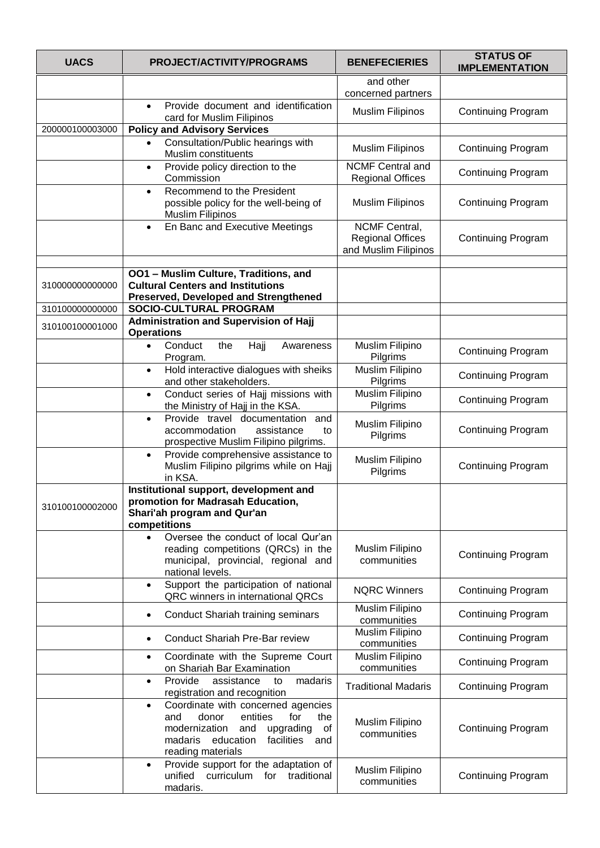| <b>UACS</b>     | PROJECT/ACTIVITY/PROGRAMS                                                                                                                                                                              | <b>BENEFECIERIES</b>                                                    | <b>STATUS OF</b><br><b>IMPLEMENTATION</b> |
|-----------------|--------------------------------------------------------------------------------------------------------------------------------------------------------------------------------------------------------|-------------------------------------------------------------------------|-------------------------------------------|
|                 |                                                                                                                                                                                                        | and other<br>concerned partners                                         |                                           |
|                 | Provide document and identification<br>$\bullet$<br>card for Muslim Filipinos                                                                                                                          | <b>Muslim Filipinos</b>                                                 | <b>Continuing Program</b>                 |
| 200000100003000 | <b>Policy and Advisory Services</b>                                                                                                                                                                    |                                                                         |                                           |
|                 | Consultation/Public hearings with<br>$\bullet$<br>Muslim constituents                                                                                                                                  | <b>Muslim Filipinos</b>                                                 | <b>Continuing Program</b>                 |
|                 | Provide policy direction to the<br>$\bullet$<br>Commission                                                                                                                                             | <b>NCMF Central and</b><br><b>Regional Offices</b>                      | <b>Continuing Program</b>                 |
|                 | Recommend to the President<br>$\bullet$<br>possible policy for the well-being of<br><b>Muslim Filipinos</b>                                                                                            | <b>Muslim Filipinos</b>                                                 | <b>Continuing Program</b>                 |
|                 | En Banc and Executive Meetings<br>$\bullet$                                                                                                                                                            | <b>NCMF Central,</b><br><b>Regional Offices</b><br>and Muslim Filipinos | <b>Continuing Program</b>                 |
| 310000000000000 | OO1 - Muslim Culture, Traditions, and<br><b>Cultural Centers and Institutions</b><br><b>Preserved, Developed and Strengthened</b>                                                                      |                                                                         |                                           |
| 310100000000000 | <b>SOCIO-CULTURAL PROGRAM</b>                                                                                                                                                                          |                                                                         |                                           |
| 310100100001000 | <b>Administration and Supervision of Hajj</b><br><b>Operations</b>                                                                                                                                     |                                                                         |                                           |
|                 | Conduct<br>the<br>Hajj<br>Awareness<br>Program.                                                                                                                                                        | Muslim Filipino<br>Pilgrims                                             | <b>Continuing Program</b>                 |
|                 | Hold interactive dialogues with sheiks<br>$\bullet$<br>and other stakeholders.                                                                                                                         | Muslim Filipino<br>Pilgrims                                             | <b>Continuing Program</b>                 |
|                 | Conduct series of Hajj missions with<br>$\bullet$<br>the Ministry of Hajj in the KSA.                                                                                                                  | Muslim Filipino<br>Pilgrims                                             | <b>Continuing Program</b>                 |
|                 | Provide travel documentation<br>and<br>$\bullet$<br>accommodation<br>assistance<br>to<br>prospective Muslim Filipino pilgrims.                                                                         | Muslim Filipino<br>Pilgrims                                             | <b>Continuing Program</b>                 |
|                 | Provide comprehensive assistance to<br>$\bullet$<br>Muslim Filipino pilgrims while on Hajj<br>in KSA.                                                                                                  | Muslim Filipino<br>Pilgrims                                             | <b>Continuing Program</b>                 |
| 310100100002000 | Institutional support, development and<br>promotion for Madrasah Education,<br>Shari'ah program and Qur'an<br>competitions                                                                             |                                                                         |                                           |
|                 | Oversee the conduct of local Qur'an<br>$\bullet$<br>reading competitions (QRCs) in the<br>municipal, provincial, regional and<br>national levels.                                                      | Muslim Filipino<br>communities                                          | <b>Continuing Program</b>                 |
|                 | Support the participation of national<br>$\bullet$<br>QRC winners in international QRCs                                                                                                                | <b>NQRC Winners</b>                                                     | <b>Continuing Program</b>                 |
|                 | <b>Conduct Shariah training seminars</b><br>$\bullet$                                                                                                                                                  | Muslim Filipino<br>communities                                          | <b>Continuing Program</b>                 |
|                 | <b>Conduct Shariah Pre-Bar review</b>                                                                                                                                                                  | Muslim Filipino<br>communities                                          | <b>Continuing Program</b>                 |
|                 | Coordinate with the Supreme Court<br>$\bullet$<br>on Shariah Bar Examination                                                                                                                           | Muslim Filipino<br>communities                                          | <b>Continuing Program</b>                 |
|                 | Provide<br>madaris<br>assistance<br>to<br>$\bullet$<br>registration and recognition                                                                                                                    | <b>Traditional Madaris</b>                                              | <b>Continuing Program</b>                 |
|                 | Coordinate with concerned agencies<br>$\bullet$<br>donor<br>entities<br>and<br>for<br>the<br>modernization<br>upgrading<br>and<br>оf<br>madaris<br>education<br>facilities<br>and<br>reading materials | Muslim Filipino<br>communities                                          | <b>Continuing Program</b>                 |
|                 | Provide support for the adaptation of<br>$\bullet$<br>unified curriculum for traditional<br>madaris.                                                                                                   | Muslim Filipino<br>communities                                          | <b>Continuing Program</b>                 |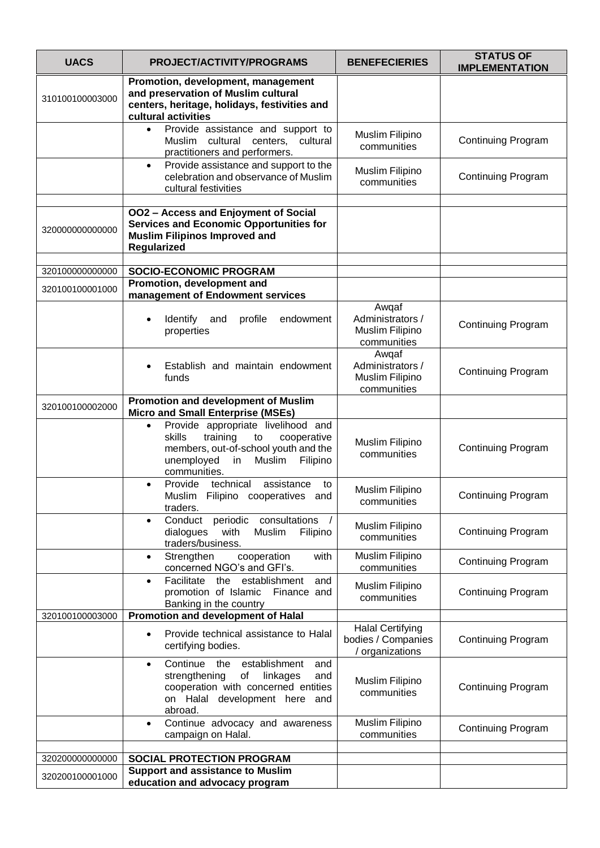| <b>UACS</b>     | PROJECT/ACTIVITY/PROGRAMS                                                                                                                                                                    | <b>BENEFECIERIES</b>                                             | <b>STATUS OF</b><br><b>IMPLEMENTATION</b> |
|-----------------|----------------------------------------------------------------------------------------------------------------------------------------------------------------------------------------------|------------------------------------------------------------------|-------------------------------------------|
| 310100100003000 | Promotion, development, management<br>and preservation of Muslim cultural<br>centers, heritage, holidays, festivities and<br>cultural activities                                             |                                                                  |                                           |
|                 | Provide assistance and support to<br>Muslim cultural centers, cultural<br>practitioners and performers.                                                                                      | Muslim Filipino<br>communities                                   | <b>Continuing Program</b>                 |
|                 | Provide assistance and support to the<br>$\bullet$<br>celebration and observance of Muslim<br>cultural festivities                                                                           | Muslim Filipino<br>communities                                   | <b>Continuing Program</b>                 |
| 320000000000000 | <b>OO2 - Access and Enjoyment of Social</b><br><b>Services and Economic Opportunities for</b><br><b>Muslim Filipinos Improved and</b><br>Regularized                                         |                                                                  |                                           |
| 320100000000000 | <b>SOCIO-ECONOMIC PROGRAM</b>                                                                                                                                                                |                                                                  |                                           |
| 320100100001000 | Promotion, development and<br>management of Endowment services                                                                                                                               |                                                                  |                                           |
|                 | Identify<br>profile<br>endowment<br>and<br>٠<br>properties                                                                                                                                   | Awgaf<br>Administrators /<br>Muslim Filipino<br>communities      | <b>Continuing Program</b>                 |
|                 | Establish and maintain endowment<br>funds                                                                                                                                                    | Awqaf<br>Administrators /<br>Muslim Filipino<br>communities      | <b>Continuing Program</b>                 |
| 320100100002000 | Promotion and development of Muslim<br><b>Micro and Small Enterprise (MSEs)</b>                                                                                                              |                                                                  |                                           |
|                 | Provide appropriate livelihood and<br>$\bullet$<br>skills<br>training<br>to<br>cooperative<br>members, out-of-school youth and the<br>unemployed<br>Muslim<br>Filipino<br>in<br>communities. | Muslim Filipino<br>communities                                   | <b>Continuing Program</b>                 |
|                 | Provide technical<br>assistance<br>to<br>$\bullet$<br>Muslim Filipino cooperatives and<br>traders.                                                                                           | Muslim Filipino<br>communities                                   | <b>Continuing Program</b>                 |
|                 | periodic<br>consultations<br>Conduct<br>with<br>Filipino<br>dialogues<br>Muslim<br>traders/business.                                                                                         | Muslim Filipino<br>communities                                   | <b>Continuing Program</b>                 |
|                 | Strengthen<br>cooperation<br>with<br>$\bullet$<br>concerned NGO's and GFI's.                                                                                                                 | Muslim Filipino<br>communities                                   | <b>Continuing Program</b>                 |
|                 | Facilitate<br>establishment<br>the<br>and<br>$\bullet$<br>promotion of Islamic<br>Finance and<br>Banking in the country                                                                      | Muslim Filipino<br>communities                                   | <b>Continuing Program</b>                 |
| 320100100003000 | Promotion and development of Halal                                                                                                                                                           |                                                                  |                                           |
|                 | Provide technical assistance to Halal<br>$\bullet$<br>certifying bodies.                                                                                                                     | <b>Halal Certifying</b><br>bodies / Companies<br>/ organizations | <b>Continuing Program</b>                 |
|                 | Continue the establishment<br>and<br>$\bullet$<br>of<br>strengthening<br>linkages<br>and<br>cooperation with concerned entities<br>on Halal development here and<br>abroad.                  | Muslim Filipino<br>communities                                   | <b>Continuing Program</b>                 |
|                 | Continue advocacy and awareness<br>$\bullet$<br>campaign on Halal.                                                                                                                           | Muslim Filipino<br>communities                                   | <b>Continuing Program</b>                 |
| 32020000000000  | <b>SOCIAL PROTECTION PROGRAM</b>                                                                                                                                                             |                                                                  |                                           |
| 320200100001000 | <b>Support and assistance to Muslim</b>                                                                                                                                                      |                                                                  |                                           |
|                 | education and advocacy program                                                                                                                                                               |                                                                  |                                           |